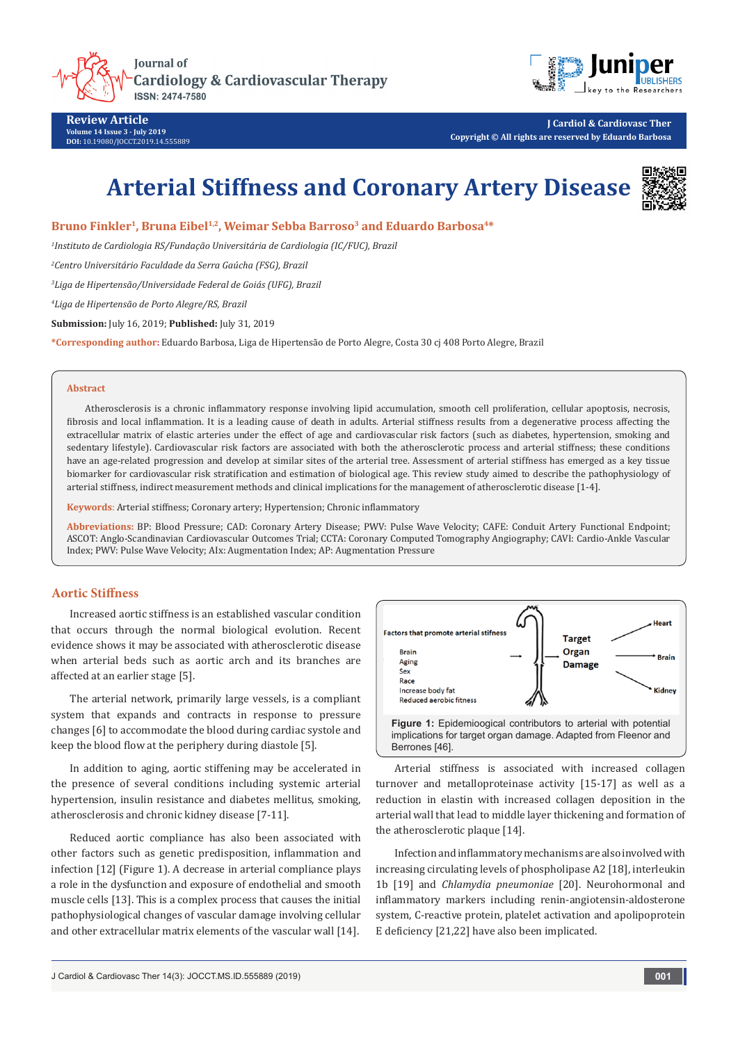



**Review Article Volume 14 Issue 3 - July 2019 DOI:** [10.19080/JOCCT.2019.14.555889](http://dx.doi.org/10.19080/JOCCT.2019.14.555889)

**J Cardiol & Cardiovasc Ther Copyright © All rights are reserved by Eduardo Barbosa**

# **Arterial Stiffness and Coronary Artery Disease**



**Bruno Finkler1, Bruna Eibel1,2, Weimar Sebba Barroso3 and Eduardo Barbosa4\***

*1 Instituto de Cardiologia RS/Fundação Universitária de Cardiologia (IC/FUC), Brazil*

*2 Centro Universitário Faculdade da Serra Gaúcha (FSG), Brazil*

*3 Liga de Hipertensão/Universidade Federal de Goiás (UFG), Brazil*

*4 Liga de Hipertensão de Porto Alegre/RS, Brazil*

**Submission:** July 16, 2019; **Published:** July 31, 2019

**\*Corresponding author:** Eduardo Barbosa, Liga de Hipertensão de Porto Alegre, Costa 30 cj 408 Porto Alegre, Brazil

#### **Abstract**

Atherosclerosis is a chronic inflammatory response involving lipid accumulation, smooth cell proliferation, cellular apoptosis, necrosis, fibrosis and local inflammation. It is a leading cause of death in adults. Arterial stiffness results from a degenerative process affecting the extracellular matrix of elastic arteries under the effect of age and cardiovascular risk factors (such as diabetes, hypertension, smoking and sedentary lifestyle). Cardiovascular risk factors are associated with both the atherosclerotic process and arterial stiffness; these conditions have an age-related progression and develop at similar sites of the arterial tree. Assessment of arterial stiffness has emerged as a key tissue biomarker for cardiovascular risk stratification and estimation of biological age. This review study aimed to describe the pathophysiology of arterial stiffness, indirect measurement methods and clinical implications for the management of atherosclerotic disease [1-4].

**Keywords**: Arterial stiffness; Coronary artery; Hypertension; Chronic inflammatory

**Abbreviations:** BP: Blood Pressure; CAD: Coronary Artery Disease; PWV: Pulse Wave Velocity; CAFE: Conduit Artery Functional Endpoint; ASCOT: Anglo-Scandinavian Cardiovascular Outcomes Trial; CCTA: Coronary Computed Tomography Angiography; CAVI: Cardio-Ankle Vascular Index; PWV: Pulse Wave Velocity; AIx: Augmentation Index; AP: Augmentation Pressure

## **Aortic Stiffness**

Increased aortic stiffness is an established vascular condition that occurs through the normal biological evolution. Recent evidence shows it may be associated with atherosclerotic disease when arterial beds such as aortic arch and its branches are affected at an earlier stage [5].

The arterial network, primarily large vessels, is a compliant system that expands and contracts in response to pressure changes [6] to accommodate the blood during cardiac systole and keep the blood flow at the periphery during diastole [5].

In addition to aging, aortic stiffening may be accelerated in the presence of several conditions including systemic arterial hypertension, insulin resistance and diabetes mellitus, smoking, atherosclerosis and chronic kidney disease [7-11].

Reduced aortic compliance has also been associated with other factors such as genetic predisposition, inflammation and infection [12] (Figure 1). A decrease in arterial compliance plays a role in the dysfunction and exposure of endothelial and smooth muscle cells [13]. This is a complex process that causes the initial pathophysiological changes of vascular damage involving cellular and other extracellular matrix elements of the vascular wall [14].



Arterial stiffness is associated with increased collagen turnover and metalloproteinase activity [15-17] as well as a reduction in elastin with increased collagen deposition in the arterial wall that lead to middle layer thickening and formation of the atherosclerotic plaque [14].

Infection and inflammatory mechanisms are also involved with increasing circulating levels of phospholipase A2 [18], interleukin 1b [19] and *Chlamydia pneumoniae* [20]. Neurohormonal and inflammatory markers including renin-angiotensin-aldosterone system, C-reactive protein, platelet activation and apolipoprotein E deficiency [21,22] have also been implicated.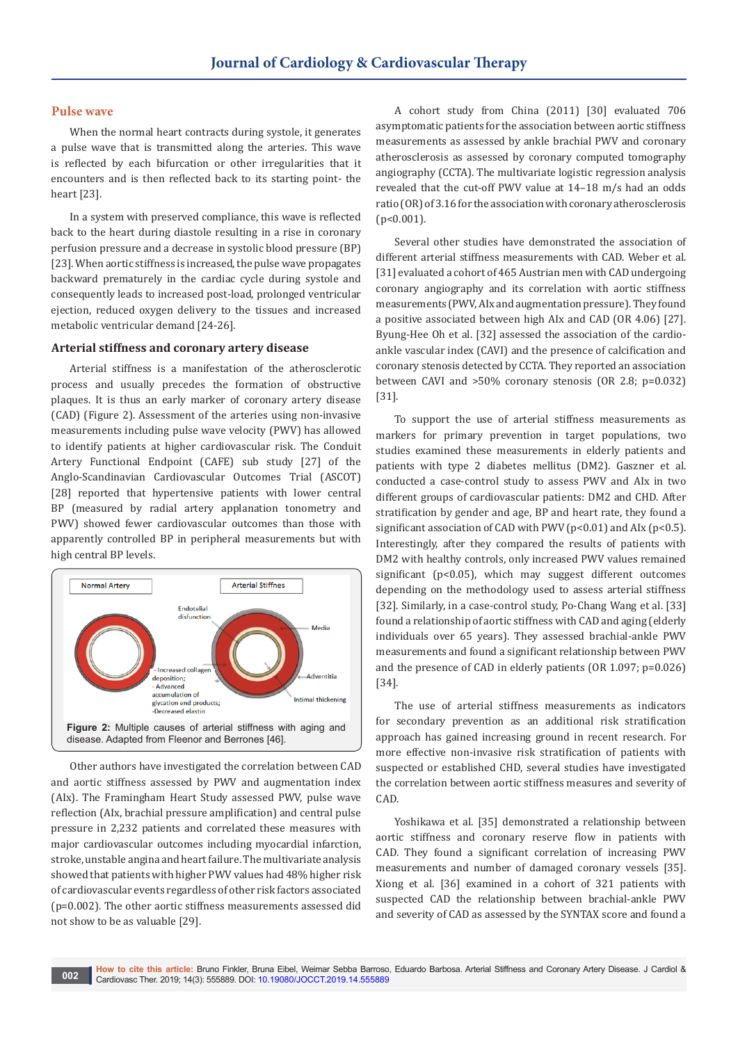#### **Pulse wave**

When the normal heart contracts during systole, it generates a pulse wave that is transmitted along the arteries. This wave is reflected by each bifurcation or other irregularities that it encounters and is then reflected back to its starting point- the heart [23].

In a system with preserved compliance, this wave is reflected back to the heart during diastole resulting in a rise in coronary perfusion pressure and a decrease in systolic blood pressure (BP) [23]. When aortic stiffness is increased, the pulse wave propagates backward prematurely in the cardiac cycle during systole and consequently leads to increased post-load, prolonged ventricular ejection, reduced oxygen delivery to the tissues and increased metabolic ventricular demand [24-26].

#### **Arterial stiffness and coronary artery disease**

Arterial stiffness is a manifestation of the atherosclerotic process and usually precedes the formation of obstructive plaques. It is thus an early marker of coronary artery disease (CAD) (Figure 2). Assessment of the arteries using non-invasive measurements including pulse wave velocity (PWV) has allowed to identify patients at higher cardiovascular risk. The Conduit Artery Functional Endpoint (CAFE) sub study [27] of the Anglo-Scandinavian Cardiovascular Outcomes Trial (ASCOT) [28] reported that hypertensive patients with lower central BP (measured by radial artery applanation tonometry and PWV) showed fewer cardiovascular outcomes than those with apparently controlled BP in peripheral measurements but with high central BP levels.



Other authors have investigated the correlation between CAD and aortic stiffness assessed by PWV and augmentation index (AIx). The Framingham Heart Study assessed PWV, pulse wave reflection (AIx, brachial pressure amplification) and central pulse pressure in 2,232 patients and correlated these measures with major cardiovascular outcomes including myocardial infarction, stroke, unstable angina and heart failure. The multivariate analysis showed that patients with higher PWV values had 48% higher risk of cardiovascular events regardless of other risk factors associated (p=0.002). The other aortic stiffness measurements assessed did not show to be as valuable [29].

A cohort study from China (2011) [30] evaluated 706 asymptomatic patients for the association between aortic stiffness measurements as assessed by ankle brachial PWV and coronary atherosclerosis as assessed by coronary computed tomography angiography (CCTA). The multivariate logistic regression analysis revealed that the cut-off PWV value at 14–18 m/s had an odds ratio (OR) of 3.16 for the association with coronary atherosclerosis (p<0.001).

Several other studies have demonstrated the association of different arterial stiffness measurements with CAD. Weber et al. [31] evaluated a cohort of 465 Austrian men with CAD undergoing coronary angiography and its correlation with aortic stiffness measurements (PWV, AIx and augmentation pressure). They found a positive associated between high AIx and CAD (OR 4.06) [27]. Byung-Hee Oh et al. [32] assessed the association of the cardioankle vascular index (CAVI) and the presence of calcification and coronary stenosis detected by CCTA. They reported an association between CAVI and >50% coronary stenosis (OR 2.8; p=0.032) [31].

To support the use of arterial stiffness measurements as markers for primary prevention in target populations, two studies examined these measurements in elderly patients and patients with type 2 diabetes mellitus (DM2). Gaszner et al. conducted a case-control study to assess PWV and AIx in two different groups of cardiovascular patients: DM2 and CHD. After stratification by gender and age, BP and heart rate, they found a significant association of CAD with PWV ( $p<0.01$ ) and AIx ( $p<0.5$ ). Interestingly, after they compared the results of patients with DM2 with healthy controls, only increased PWV values remained significant (p<0.05), which may suggest different outcomes depending on the methodology used to assess arterial stiffness [32]. Similarly, in a case-control study, Po-Chang Wang et al. [33] found a relationship of aortic stiffness with CAD and aging (elderly individuals over 65 years). They assessed brachial-ankle PWV measurements and found a significant relationship between PWV and the presence of CAD in elderly patients (OR 1.097; p=0.026) [34].

The use of arterial stiffness measurements as indicators for secondary prevention as an additional risk stratification approach has gained increasing ground in recent research. For more effective non-invasive risk stratification of patients with suspected or established CHD, several studies have investigated the correlation between aortic stiffness measures and severity of CAD.

Yoshikawa et al. [35] demonstrated a relationship between aortic stiffness and coronary reserve flow in patients with CAD. They found a significant correlation of increasing PWV measurements and number of damaged coronary vessels [35]. Xiong et al. [36] examined in a cohort of 321 patients with suspected CAD the relationship between brachial-ankle PWV and severity of CAD as assessed by the SYNTAX score and found a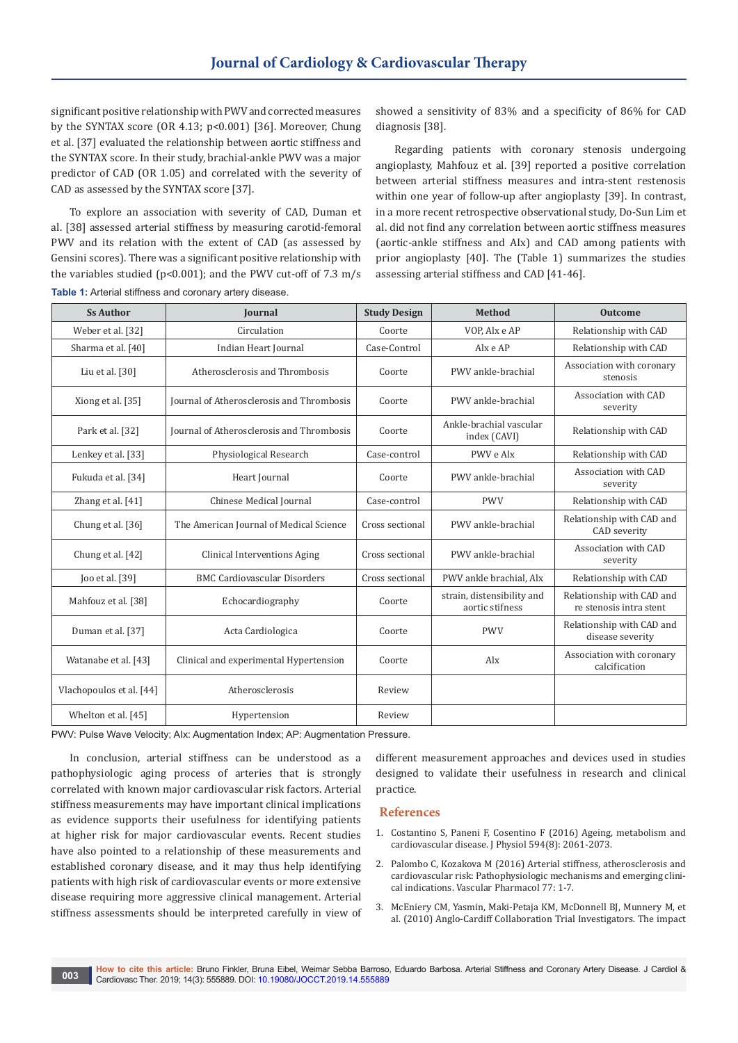significant positive relationship with PWV and corrected measures by the SYNTAX score (OR 4.13; p<0.001) [36]. Moreover, Chung et al. [37] evaluated the relationship between aortic stiffness and the SYNTAX score. In their study, brachial-ankle PWV was a major predictor of CAD (OR 1.05) and correlated with the severity of CAD as assessed by the SYNTAX score [37].

To explore an association with severity of CAD, Duman et al. [38] assessed arterial stiffness by measuring carotid-femoral PWV and its relation with the extent of CAD (as assessed by Gensini scores). There was a significant positive relationship with the variables studied ( $p$ <0.001); and the PWV cut-off of 7.3 m/s

**Table 1:** Arterial stiffness and coronary artery disease.

showed a sensitivity of 83% and a specificity of 86% for CAD diagnosis [38].

Regarding patients with coronary stenosis undergoing angioplasty, Mahfouz et al. [39] reported a positive correlation between arterial stiffness measures and intra-stent restenosis within one year of follow-up after angioplasty [39]. In contrast, in a more recent retrospective observational study, Do-Sun Lim et al. did not find any correlation between aortic stiffness measures (aortic-ankle stiffness and AIx) and CAD among patients with prior angioplasty [40]. The (Table 1) summarizes the studies assessing arterial stiffness and CAD [41-46].

| <b>Ss Author</b>         | <b>Journal</b>                            | <b>Study Design</b> | <b>Method</b>                                 | <b>Outcome</b>                                       |
|--------------------------|-------------------------------------------|---------------------|-----------------------------------------------|------------------------------------------------------|
| Weber et al. [32]        | Circulation                               | Coorte              | VOP. Alx e AP                                 | Relationship with CAD                                |
| Sharma et al. [40]       | Indian Heart Journal                      | Case-Control        | Alx e AP                                      | Relationship with CAD                                |
| Liu et al. [30]          | Atherosclerosis and Thrombosis            | Coorte              | PWV ankle-brachial                            | Association with coronary<br>stenosis                |
| Xiong et al. [35]        | Journal of Atherosclerosis and Thrombosis | Coorte              | PWV ankle-brachial                            | Association with CAD<br>severity                     |
| Park et al. [32]         | Journal of Atherosclerosis and Thrombosis | Coorte              | Ankle-brachial vascular<br>index (CAVI)       | Relationship with CAD                                |
| Lenkey et al. [33]       | Physiological Research                    | Case-control        | PWV e Alx                                     | Relationship with CAD                                |
| Fukuda et al. [34]       | Heart Journal                             | Coorte              | PWV ankle-brachial                            | Association with CAD<br>severity                     |
| Zhang et al. [41]        | Chinese Medical Journal                   | Case-control        | <b>PWV</b>                                    | Relationship with CAD                                |
| Chung et al. [36]        | The American Journal of Medical Science   | Cross sectional     | PWV ankle-brachial                            | Relationship with CAD and<br>CAD severity            |
| Chung et al. [42]        | Clinical Interventions Aging              | Cross sectional     | PWV ankle-brachial                            | Association with CAD<br>severity                     |
| Joo et al. [39]          | <b>BMC Cardiovascular Disorders</b>       | Cross sectional     | PWV ankle brachial. Alx                       | Relationship with CAD                                |
| Mahfouz et al. [38]      | Echocardiography                          | Coorte              | strain, distensibility and<br>aortic stifness | Relationship with CAD and<br>re stenosis intra stent |
| Duman et al. [37]        | Acta Cardiologica                         | Coorte              | <b>PWV</b>                                    | Relationship with CAD and<br>disease severity        |
| Watanabe et al. [43]     | Clinical and experimental Hypertension    | Coorte              | Alx                                           | Association with coronary<br>calcification           |
| Vlachopoulos et al. [44] | Atherosclerosis                           | Review              |                                               |                                                      |
| Whelton et al. [45]      | Hypertension                              | Review              |                                               |                                                      |

PWV: Pulse Wave Velocity; AIx: Augmentation Index; AP: Augmentation Pressure.

In conclusion, arterial stiffness can be understood as a pathophysiologic aging process of arteries that is strongly correlated with known major cardiovascular risk factors. Arterial stiffness measurements may have important clinical implications as evidence supports their usefulness for identifying patients at higher risk for major cardiovascular events. Recent studies have also pointed to a relationship of these measurements and established coronary disease, and it may thus help identifying patients with high risk of cardiovascular events or more extensive disease requiring more aggressive clinical management. Arterial stiffness assessments should be interpreted carefully in view of different measurement approaches and devices used in studies designed to validate their usefulness in research and clinical practice.

### **References**

- 1. [Costantino S, Paneni F, Cosentino F \(2016\) Ageing, metabolism and](https://www.ncbi.nlm.nih.gov/pubmed/26391109)  [cardiovascular disease. J Physiol 594\(8\): 2061-2073.](https://www.ncbi.nlm.nih.gov/pubmed/26391109)
- 2. [Palombo C, Kozakova M \(2016\) Arterial stiffness, atherosclerosis and](https://www.ncbi.nlm.nih.gov/pubmed/26643779)  [cardiovascular risk: Pathophysiologic mechanisms and emerging clini](https://www.ncbi.nlm.nih.gov/pubmed/26643779)[cal indications. Vascular Pharmacol 77: 1-7.](https://www.ncbi.nlm.nih.gov/pubmed/26643779)
- 3. [McEniery CM, Yasmin, Maki-Petaja KM, McDonnell BJ, Munnery M, et](https://www.ncbi.nlm.nih.gov/pubmed/20696989)  [al. \(2010\) Anglo-Cardiff Collaboration Trial Investigators. The impact](https://www.ncbi.nlm.nih.gov/pubmed/20696989)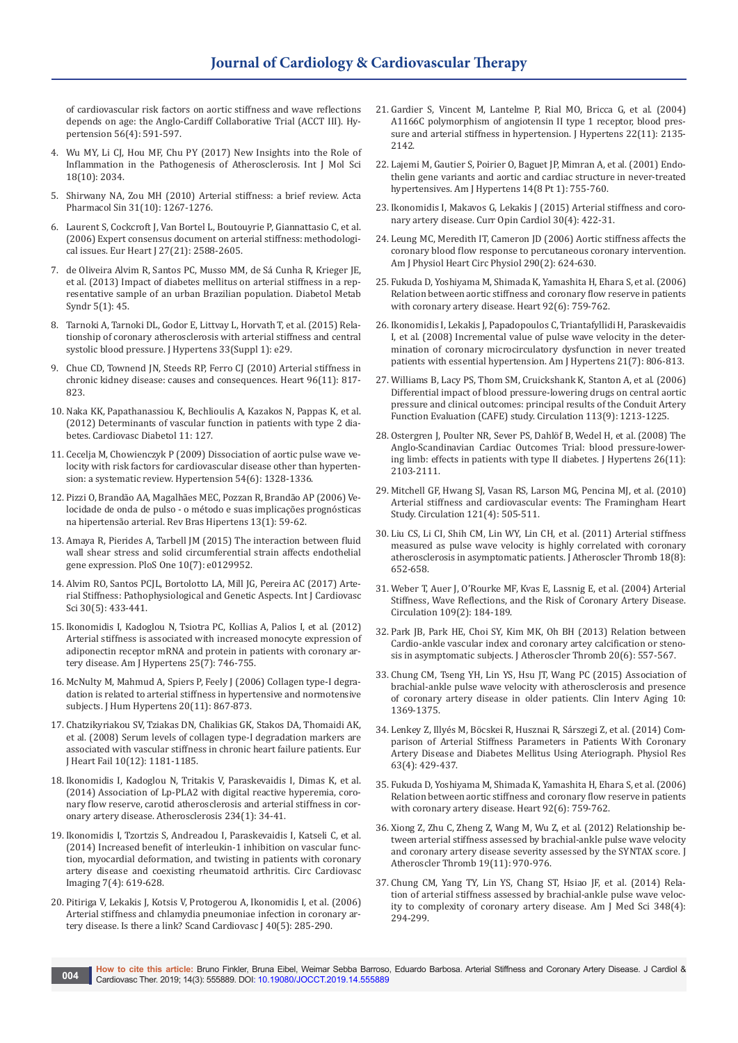[of cardiovascular risk factors on aortic stiffness and wave reflections](https://www.ncbi.nlm.nih.gov/pubmed/20696989)  [depends on age: the Anglo-Cardiff Collaborative Trial \(ACCT III\). Hy](https://www.ncbi.nlm.nih.gov/pubmed/20696989)[pertension 56\(4\): 591-597.](https://www.ncbi.nlm.nih.gov/pubmed/20696989)

- 4. [Wu MY, Li CJ, Hou MF, Chu PY \(2017\) New Insights into the Role of](https://www.ncbi.nlm.nih.gov/pubmed/28937652)  [Inflammation in the Pathogenesis of Atherosclerosis. Int J Mol Sci](https://www.ncbi.nlm.nih.gov/pubmed/28937652)  [18\(10\): 2034.](https://www.ncbi.nlm.nih.gov/pubmed/28937652)
- 5. Shirwany NA, [Zou MH \(2010\) Arterial stiffness: a brief review. Acta](https://www.ncbi.nlm.nih.gov/pubmed/20802505)  [Pharmacol Sin 31\(10\): 1267-1276.](https://www.ncbi.nlm.nih.gov/pubmed/20802505)
- 6. [Laurent S, Cockcroft J, Van Bortel L, Boutouyrie P, Giannattasio C, et al.](https://www.ncbi.nlm.nih.gov/pubmed/17000623)  [\(2006\) Expert consensus document on arterial stiffness: methodologi](https://www.ncbi.nlm.nih.gov/pubmed/17000623)[cal issues. Eur Heart J](https://www.ncbi.nlm.nih.gov/pubmed/17000623) 27(21): 2588-2605.
- 7. [de Oliveira Alvim R, Santos PC, Musso MM, de Sá Cunha R, Krieger JE,](https://www.ncbi.nlm.nih.gov/pubmed/23965633)  [et al. \(2013\) Impact of diabetes mellitus on arterial stiffness in a rep](https://www.ncbi.nlm.nih.gov/pubmed/23965633)[resentative sample of an urban Brazilian population. Diabetol Metab](https://www.ncbi.nlm.nih.gov/pubmed/23965633)  [Syndr 5\(1\): 45.](https://www.ncbi.nlm.nih.gov/pubmed/23965633)
- 8. [Tarnoki A, Tarnoki DL, Godor E, Littvay L, Horvath T, et al. \(2015\) Rela](https://journals.lww.com/jhypertension/Abstract/2015/06001/2D_05___RELATIONSHIP_OF_CORONARY_ATHEROSCLEROSIS.76.aspx)[tionship of coronary atherosclerosis with arterial stiffness and central](https://journals.lww.com/jhypertension/Abstract/2015/06001/2D_05___RELATIONSHIP_OF_CORONARY_ATHEROSCLEROSIS.76.aspx)  [systolic blood pressure. J Hypertens 33\(Suppl 1\): e29.](https://journals.lww.com/jhypertension/Abstract/2015/06001/2D_05___RELATIONSHIP_OF_CORONARY_ATHEROSCLEROSIS.76.aspx)
- 9. [Chue CD, Townend JN, Steeds RP, Ferro CJ \(2010\) Arterial stiffness in](https://www.ncbi.nlm.nih.gov/pubmed/20406771)  [chronic kidney disease: causes and consequences. Heart 96\(11\): 817-](https://www.ncbi.nlm.nih.gov/pubmed/20406771) [823.](https://www.ncbi.nlm.nih.gov/pubmed/20406771)
- 10. [Naka KK, Papathanassiou K, Bechlioulis A, Kazakos N, Pappas K, et al.](https://www.ncbi.nlm.nih.gov/pubmed/23062182)  [\(2012\) Determinants of vascular function in patients with type 2 dia](https://www.ncbi.nlm.nih.gov/pubmed/23062182)[betes. Cardiovasc Diabetol 11: 127.](https://www.ncbi.nlm.nih.gov/pubmed/23062182)
- 11. [Cecelja M, Chowienczyk P \(2009\) Dissociation of aortic pulse wave ve](https://www.ncbi.nlm.nih.gov/pubmed/19884567)[locity with risk factors for cardiovascular disease other than hyperten](https://www.ncbi.nlm.nih.gov/pubmed/19884567)[sion: a systematic review. Hypertension 54\(6\): 1328-1336.](https://www.ncbi.nlm.nih.gov/pubmed/19884567)
- 12. [Pizzi O, Brandão AA, Magalhães MEC, Pozzan R, Brandão AP \(2006\) Ve](http://departamentos.cardiol.br/dha/revista/13-1/14-velocidade-onda.pdf)[locidade de onda de pulso - o método e suas implicações prognósticas](http://departamentos.cardiol.br/dha/revista/13-1/14-velocidade-onda.pdf)  [na hipertensão arterial. Rev Bras Hipertens 13\(1\): 59-62.](http://departamentos.cardiol.br/dha/revista/13-1/14-velocidade-onda.pdf)
- 13. [Amaya R, Pierides A, Tarbell JM \(2015\) The interaction between fluid](https://www.ncbi.nlm.nih.gov/pubmed/26147292)  [wall shear stress and solid circumferential strain affects endothelial](https://www.ncbi.nlm.nih.gov/pubmed/26147292)  [gene expression. PloS One 10\(7\): e0129952.](https://www.ncbi.nlm.nih.gov/pubmed/26147292)
- 14. [Alvim RO, Santos PCJL, Bortolotto LA, Mill JG, Pereira AC \(2017\)](http://www.scielo.br/scielo.php?pid=S2359-56472017000500433&script=sci_abstract) Arte[rial Stiffness: Pathophysiological and Genetic Aspects. Int J Cardiovasc](http://www.scielo.br/scielo.php?pid=S2359-56472017000500433&script=sci_abstract)  [Sci 30\(5\): 433-441.](http://www.scielo.br/scielo.php?pid=S2359-56472017000500433&script=sci_abstract)
- 15. [Ikonomidis I, Kadoglou N, Tsiotra PC, Kollias A, Palios I, et al. \(2012\)](https://www.ncbi.nlm.nih.gov/pubmed/22534793)  [Arterial stiffness is associated with increased monocyte expression of](https://www.ncbi.nlm.nih.gov/pubmed/22534793)  [adiponectin receptor mRNA and protein in patients with coronary ar](https://www.ncbi.nlm.nih.gov/pubmed/22534793)[tery disease. Am J Hypertens 25\(7\): 746-755.](https://www.ncbi.nlm.nih.gov/pubmed/22534793)
- 16. [McNulty M, Mahmud A, Spiers P, Feely J \(2006\) Collagen type-I degra](https://www.ncbi.nlm.nih.gov/pubmed/16598292)[dation is related to arterial stiffness in hypertensive and normotensive](https://www.ncbi.nlm.nih.gov/pubmed/16598292)  [subjects. J Hum Hypertens 20\(11\): 867-873.](https://www.ncbi.nlm.nih.gov/pubmed/16598292)
- 17. [Chatzikyriakou SV, Tziakas DN, Chalikias GK, Stakos DA, Thomaidi AK,](https://www.ncbi.nlm.nih.gov/pubmed/18849192)  [et al. \(2008\) Serum levels of collagen type-I degradation markers are](https://www.ncbi.nlm.nih.gov/pubmed/18849192)  [associated with vascular stiffness in chronic heart failure patients. Eur](https://www.ncbi.nlm.nih.gov/pubmed/18849192)  [J Heart Fail 10\(12\): 1181-1185.](https://www.ncbi.nlm.nih.gov/pubmed/18849192)
- 18. [Ikonomidis I, Kadoglou N, Tritakis V, Paraskevaidis I, Dimas K, et al.](https://www.ncbi.nlm.nih.gov/pubmed/24594367)  [\(2014\) Association of Lp-PLA2 with digital reactive hyperemia, coro](https://www.ncbi.nlm.nih.gov/pubmed/24594367)[nary flow reserve, carotid atherosclerosis and arterial stiffness in cor](https://www.ncbi.nlm.nih.gov/pubmed/24594367)[onary artery disease. Atherosclerosis 234\(1\): 34-41.](https://www.ncbi.nlm.nih.gov/pubmed/24594367)
- 19. [Ikonomidis I, Tzortzis S, Andreadou I, Paraskevaidis I, Katseli C, et al.](https://www.ncbi.nlm.nih.gov/pubmed/24782115)  [\(2014\) Increased benefit of interleukin-1 inhibition on vascular func](https://www.ncbi.nlm.nih.gov/pubmed/24782115)[tion, myocardial deformation, and twisting in patients with coronary](https://www.ncbi.nlm.nih.gov/pubmed/24782115)  [artery disease and coexisting rheumatoid arthritis. Circ Cardiovasc](https://www.ncbi.nlm.nih.gov/pubmed/24782115)  [Imaging 7\(4\): 619-628.](https://www.ncbi.nlm.nih.gov/pubmed/24782115)
- 20. [Pitiriga V, Lekakis J, Kotsis V, Protogerou A, Ikonomidis I, et al. \(2006\)](https://www.ncbi.nlm.nih.gov/pubmed/17012139)  [Arterial stiffness and chlamydia pneumoniae infection in coronary ar](https://www.ncbi.nlm.nih.gov/pubmed/17012139)[tery disease. Is there a link? Scand Cardiovasc J 40\(5\): 285-290.](https://www.ncbi.nlm.nih.gov/pubmed/17012139)
- 21. [Gardier S, Vincent M, Lantelme P, Rial MO, Bricca G, et al. \(2004\)](https://www.ncbi.nlm.nih.gov/pubmed/15480098)  [A1166C polymorphism of angiotensin II type 1 receptor, blood pres](https://www.ncbi.nlm.nih.gov/pubmed/15480098)[sure and arterial stiffness in hypertension. J Hypertens 22\(11\): 2135-](https://www.ncbi.nlm.nih.gov/pubmed/15480098) [2142.](https://www.ncbi.nlm.nih.gov/pubmed/15480098)
- 22. [Lajemi M, Gautier S, Poirier O, Baguet JP, Mimran A, et al. \(2001\) Endo](https://www.ncbi.nlm.nih.gov/pubmed/11497190)[thelin gene variants and aortic and cardiac structure in never-treated](https://www.ncbi.nlm.nih.gov/pubmed/11497190)  [hypertensives. Am J Hypertens 14\(8 Pt 1\): 755-760.](https://www.ncbi.nlm.nih.gov/pubmed/11497190)
- 23. [Ikonomidis I, Makavos G, Lekakis J \(2015\) Arterial stiffness and coro](https://www.ncbi.nlm.nih.gov/pubmed/26049393)[nary artery disease. Curr Opin Cardiol](https://www.ncbi.nlm.nih.gov/pubmed/26049393) 30(4): 422-31.
- 24. [Leung MC, Meredith IT, Cameron JD \(2006\) Aortic stiffness affects the](https://www.ncbi.nlm.nih.gov/pubmed/16143654)  [coronary blood flow response to percutaneous coronary intervention.](https://www.ncbi.nlm.nih.gov/pubmed/16143654)  [Am J Physiol Heart Circ Physiol 290\(2\): 624-630.](https://www.ncbi.nlm.nih.gov/pubmed/16143654)
- 25. [Fukuda D, Yoshiyama M, Shimada K, Yamashita H, Ehara S, et al. \(2006\)](https://www.ncbi.nlm.nih.gov/pubmed/16216858)  [Relation between aortic stiffness and coronary flow reserve in patients](https://www.ncbi.nlm.nih.gov/pubmed/16216858)  [with coronary artery disease. Heart 92\(6\): 759-762.](https://www.ncbi.nlm.nih.gov/pubmed/16216858)
- 26. [Ikonomidis I, Lekakis J, Papadopoulos C, Triantafyllidi H, Paraskevaidis](https://www.ncbi.nlm.nih.gov/pubmed/18497732)  [I, et al. \(2008\) Incremental value of pulse wave velocity in the deter](https://www.ncbi.nlm.nih.gov/pubmed/18497732)[mination of coronary microcirculatory dysfunction in never treated](https://www.ncbi.nlm.nih.gov/pubmed/18497732)  [patients with essential hypertension. Am J Hypertens 21\(7\): 806-813.](https://www.ncbi.nlm.nih.gov/pubmed/18497732)
- 27. [Williams B, Lacy PS, Thom SM, Cruickshank K, Stanton A, et al. \(2006\)](https://www.ncbi.nlm.nih.gov/pubmed/16476843)  [Differential impact of blood pressure-lowering drugs on central aortic](https://www.ncbi.nlm.nih.gov/pubmed/16476843)  [pressure and clinical outcomes: principal results of the Conduit Artery](https://www.ncbi.nlm.nih.gov/pubmed/16476843)  [Function Evaluation \(CAFE\) study. Circulation 113\(9\): 1213-1225.](https://www.ncbi.nlm.nih.gov/pubmed/16476843)
- 28. [Ostergren J, Poulter NR, Sever PS, Dahl](https://www.ncbi.nlm.nih.gov/pubmed/18854748)öf B, Wedel H, et al. (2008) The [Anglo-Scandinavian Cardiac Outcomes Trial: blood pressure-lower](https://www.ncbi.nlm.nih.gov/pubmed/18854748)ing limb: effects in patients with type II diabetes. J Hypertens 26(11): [2103-2111.](https://www.ncbi.nlm.nih.gov/pubmed/18854748)
- 29. [Mitchell GF, Hwang SJ, Vasan RS, Larson MG, Pencina MJ, et al. \(2010\)](https://www.ncbi.nlm.nih.gov/pubmed/20083680)  [Arterial stiffness and cardiovascular events: The Framingham Heart](https://www.ncbi.nlm.nih.gov/pubmed/20083680)  [Study. Circulation 121\(4\): 505-511.](https://www.ncbi.nlm.nih.gov/pubmed/20083680)
- 30. [Liu CS, Li CI, Shih CM, Lin WY, Lin CH, et al. \(2011\) Arterial stiffness](https://www.ncbi.nlm.nih.gov/pubmed/21467807)  [measured as pulse wave velocity is highly correlated with coronary](https://www.ncbi.nlm.nih.gov/pubmed/21467807)  [atherosclerosis in asymptomatic patients. J Atheroscler Thromb 18\(8\):](https://www.ncbi.nlm.nih.gov/pubmed/21467807)  [652-658.](https://www.ncbi.nlm.nih.gov/pubmed/21467807)
- 31. [Weber T, Auer J, O'Rourke MF, Kvas E, Lassnig E, et al. \(2004\) Arterial](https://www.ncbi.nlm.nih.gov/pubmed/14662706)  [Stiffness, Wave Reflections, and the Risk of Coronary Artery Disease.](https://www.ncbi.nlm.nih.gov/pubmed/14662706)  Circulation [109\(2\): 184-189.](https://www.ncbi.nlm.nih.gov/pubmed/14662706)
- 32. [Park JB, Park HE, Choi SY, Kim MK, Oh BH \(2013\) Relation between](https://www.ncbi.nlm.nih.gov/pubmed/23524474)  [Cardio-ankle vascular index and coronary artey calcification or steno](https://www.ncbi.nlm.nih.gov/pubmed/23524474)[sis in asymptomatic subjects. J Atheroscler Thromb](https://www.ncbi.nlm.nih.gov/pubmed/23524474) 20(6): 557-567.
- 33. [Chung CM, Tseng YH, Lin YS, Hsu JT, Wang PC \(2015\) Association of](https://www.ncbi.nlm.nih.gov/pubmed/26316732)  [brachial-ankle pulse wave velocity with atherosclerosis and presence](https://www.ncbi.nlm.nih.gov/pubmed/26316732)  [of coronary artery disease in older patients. Clin Interv Aging](https://www.ncbi.nlm.nih.gov/pubmed/26316732) 10: [1369-1375.](https://www.ncbi.nlm.nih.gov/pubmed/26316732)
- 34. Lenkey Z, Illyés M, Bö[cskei R, Husznai R, Sárszegi Z, et al. \(2014\) Com](https://www.ncbi.nlm.nih.gov/pubmed/24702500)[parison of Arterial Stiffness Parameters in Patients With Coronary](https://www.ncbi.nlm.nih.gov/pubmed/24702500)  [Artery Disease and Diabetes Mellitus Using Ateriograph. Physiol Res](https://www.ncbi.nlm.nih.gov/pubmed/24702500)  [63\(4\): 429-437.](https://www.ncbi.nlm.nih.gov/pubmed/24702500)
- 35. [Fukuda D, Yoshiyama M, Shimada K, Yamashita H, Ehara S, et al. \(2006\)](https://www.ncbi.nlm.nih.gov/pubmed/16216858)  [Relation between aortic stiffness and coronary flow reserve in patients](https://www.ncbi.nlm.nih.gov/pubmed/16216858)  [with coronary artery disease. Heart 92\(6\): 759-762.](https://www.ncbi.nlm.nih.gov/pubmed/16216858)
- 36. [Xiong Z, Zhu C, Zheng Z, Wang M, Wu Z, et al. \(2012\) Relationship be](https://www.ncbi.nlm.nih.gov/pubmed/22785141)[tween arterial stiffness assessed by brachial-ankle pulse wave velocity](https://www.ncbi.nlm.nih.gov/pubmed/22785141)  [and coronary artery disease severity assessed by the SYNTAX score. J](https://www.ncbi.nlm.nih.gov/pubmed/22785141)  [Atheroscler Thromb 19\(11\): 970-976.](https://www.ncbi.nlm.nih.gov/pubmed/22785141)
- 37. [Chung CM, Yang TY, Lin YS, Chang ST, Hsiao JF, et al. \(2014\) Rela](https://www.ncbi.nlm.nih.gov/pubmed/24845468)tion of arterial stiffness assessed by brachial-ankle pulse wave velocity to complexity of coronary [artery disease. Am J Med Sci 348\(4\):](https://www.ncbi.nlm.nih.gov/pubmed/24845468)  [294-299.](https://www.ncbi.nlm.nih.gov/pubmed/24845468)